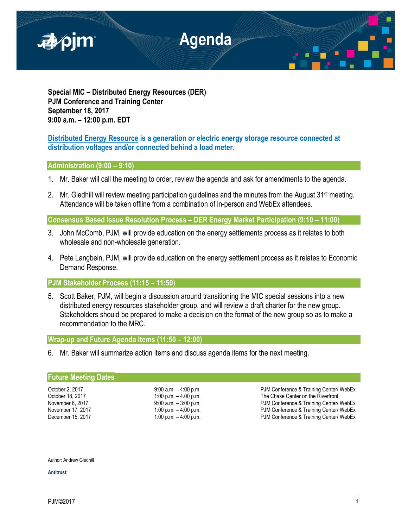

**Special MIC – Distributed Energy Resources (DER) PJM Conference and Training Center September 18, 2017 9:00 a.m. – 12:00 p.m. EDT**

# **Distributed Energy Resource is a generation or electric energy storage resource connected at distribution voltages and/or connected behind a load meter.**

## **Administration (9:00 – 9:10)**

- 1. Mr. Baker will call the meeting to order, review the agenda and ask for amendments to the agenda.
- 2. Mr. Gledhill will review meeting participation guidelines and the minutes from the August 31<sup>st</sup> meeting. Attendance will be taken offline from a combination of in-person and WebEx attendees.

**Consensus Based Issue Resolution Process – DER Energy Market Participation (9:10 – 11:00)**

- 3. John McComb, PJM, will provide education on the energy settlements process as it relates to both wholesale and non-wholesale generation.
- 4. Pete Langbein, PJM, will provide education on the energy settlement process as it relates to Economic Demand Response.

## **PJM Stakeholder Process (11:15 – 11:50)**

5. Scott Baker, PJM, will begin a discussion around transitioning the MIC special sessions into a new distributed energy resources stakeholder group, and will review a draft charter for the new group. Stakeholders should be prepared to make a decision on the format of the new group so as to make a recommendation to the MRC.

## **Wrap-up and Future Agenda Items (11:50 – 12:00)**

6. Mr. Baker will summarize action items and discuss agenda items for the next meeting.

#### **Future Meeting Dates**

October 2, 2017 **9:00 a.m.** – 4:00 p.m. PJM Conference & Training Center/ WebEx<br>
October 18, 2017 **1:00 p.m.** – 4.00 p.m. Particle and Preference & Training Center/ WebEx October 18, 2017 1:00 p.m. – 4.00 p.m.<br>
9:00 a.m. – 3:00 p.m. (1990) 1:00 p.m. PJM Conference & Training Center/ November 6, 2017 9:00 a.m. – 3:00 p.m. PJM Conference & Training Center/ WebEx PJM Conference & Training Center/ WebEx December 15, 2017 1:00 p.m. – 4:00 p.m. – 4:00 p.m. PJM Conference & Training Center/ WebEx

#### Author: Andrew Gledhill

**Antitrust:**